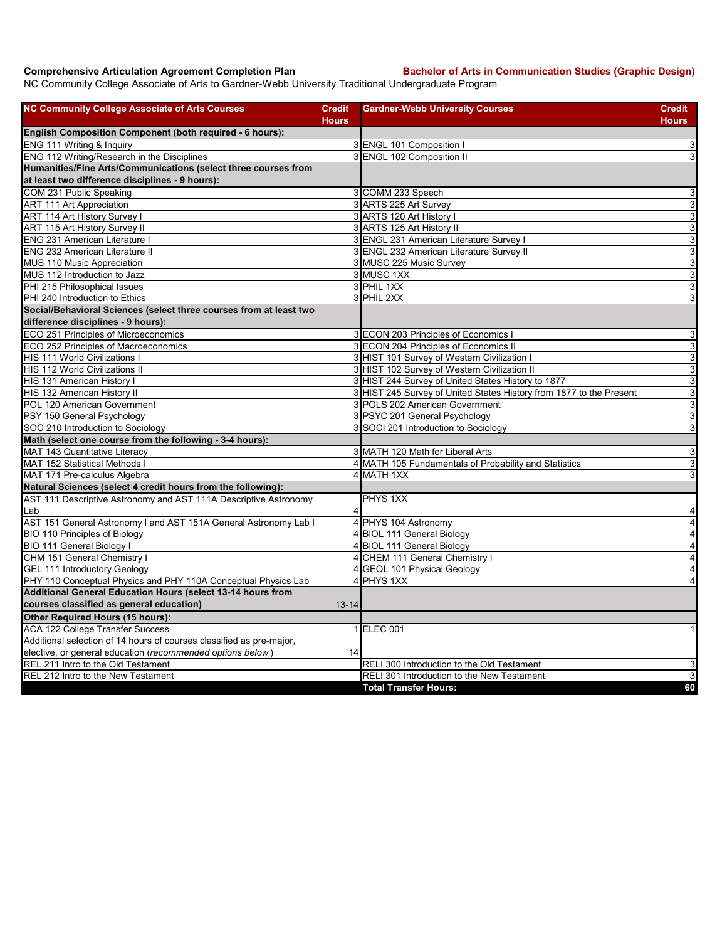**Comprehensive Articulation Agreement Completion Plan Bachelor of Arts in Communication Studies (Graphic Design)** 

NC Community College Associate of Arts to Gardner-Webb University Traditional Undergraduate Program

| <b>NC Community College Associate of Arts Courses</b>                | <b>Credit</b><br><b>Hours</b> | <b>Gardner-Webb University Courses</b>                              | <b>Credit</b><br>Hours    |
|----------------------------------------------------------------------|-------------------------------|---------------------------------------------------------------------|---------------------------|
| English Composition Component (both required - 6 hours):             |                               |                                                                     |                           |
| ENG 111 Writing & Inquiry                                            |                               | 3 ENGL 101 Composition I                                            | 3                         |
| ENG 112 Writing/Research in the Disciplines                          |                               | 3 ENGL 102 Composition II                                           | $\overline{3}$            |
| Humanities/Fine Arts/Communications (select three courses from       |                               |                                                                     |                           |
| at least two difference disciplines - 9 hours):                      |                               |                                                                     |                           |
| COM 231 Public Speaking                                              |                               | 3 COMM 233 Speech                                                   | 3                         |
| <b>ART 111 Art Appreciation</b>                                      |                               | 3 ARTS 225 Art Survey                                               | $\overline{3}$            |
| ART 114 Art History Survey I                                         |                               | 3 ARTS 120 Art History                                              | 3                         |
| ART 115 Art History Survey II                                        |                               | 3 ARTS 125 Art History II                                           | ω                         |
| <b>ENG 231 American Literature I</b>                                 |                               | 3 ENGL 231 American Literature Survey I                             | $\mathsf 3$               |
| ENG 232 American Literature II                                       |                               | 3 ENGL 232 American Literature Survey II                            | ω                         |
| MUS 110 Music Appreciation                                           |                               | 3 MUSC 225 Music Survey                                             | $\mathbf{3}$              |
| MUS 112 Introduction to Jazz                                         |                               | 3 MUSC 1XX                                                          | $\ensuremath{\mathsf{3}}$ |
| PHI 215 Philosophical Issues                                         |                               | 3 PHIL 1XX                                                          | $\mathbf{3}$              |
| PHI 240 Introduction to Ethics                                       |                               | 3 PHIL 2XX                                                          | $\ensuremath{\mathsf{3}}$ |
| Social/Behavioral Sciences (select three courses from at least two   |                               |                                                                     |                           |
| difference disciplines - 9 hours):                                   |                               |                                                                     |                           |
| ECO 251 Principles of Microeconomics                                 |                               | 3 ECON 203 Principles of Economics I                                | $\ensuremath{\mathsf{3}}$ |
| ECO 252 Principles of Macroeconomics                                 |                               | 3 ECON 204 Principles of Economics II                               | $\overline{3}$            |
| HIS 111 World Civilizations I                                        |                               | 3 HIST 101 Survey of Western Civilization I                         | $\mathsf 3$               |
| <b>HIS 112 World Civilizations II</b>                                |                               | 3 HIST 102 Survey of Western Civilization II                        | $\overline{3}$            |
| HIS 131 American History I                                           |                               | 3 HIST 244 Survey of United States History to 1877                  | 3                         |
| HIS 132 American History II                                          |                               | 3 HIST 245 Survey of United States History from 1877 to the Present | ω                         |
| POL 120 American Government                                          |                               | 3 POLS 202 American Government                                      | $\mathbf{3}$              |
| PSY 150 General Psychology                                           |                               | 3 PSYC 201 General Psychology                                       | 3                         |
| SOC 210 Introduction to Sociology                                    |                               | 3 SOCI 201 Introduction to Sociology                                | 3                         |
| Math (select one course from the following - 3-4 hours):             |                               |                                                                     |                           |
| MAT 143 Quantitative Literacy                                        |                               | 3 MATH 120 Math for Liberal Arts                                    | 3                         |
| MAT 152 Statistical Methods I                                        |                               | 4 MATH 105 Fundamentals of Probability and Statistics               | $\overline{3}$            |
| MAT 171 Pre-calculus Algebra                                         |                               | 4 MATH 1XX                                                          | 3                         |
| Natural Sciences (select 4 credit hours from the following):         |                               |                                                                     |                           |
| AST 111 Descriptive Astronomy and AST 111A Descriptive Astronomy     |                               | PHYS 1XX                                                            |                           |
| Lab                                                                  | 4                             |                                                                     | 4                         |
| AST 151 General Astronomy I and AST 151A General Astronomy Lab I     |                               | 4 PHYS 104 Astronomy                                                | $\overline{\mathbf{4}}$   |
| <b>BIO 110 Principles of Biology</b>                                 |                               | 4 BIOL 111 General Biology                                          | 4                         |
| BIO 111 General Biology I                                            |                               | 4 BIOL 111 General Biology                                          | $\overline{\mathbf{A}}$   |
| CHM 151 General Chemistry I                                          |                               | 4 CHEM 111 General Chemistry I                                      | $\overline{\mathbf{4}}$   |
| <b>GEL 111 Introductory Geology</b>                                  |                               | 4 GEOL 101 Physical Geology                                         | $\overline{\mathbf{r}}$   |
| PHY 110 Conceptual Physics and PHY 110A Conceptual Physics Lab       |                               | 4 PHYS 1XX                                                          | $\overline{4}$            |
| Additional General Education Hours (select 13-14 hours from          |                               |                                                                     |                           |
| courses classified as general education)                             | $13 - 14$                     |                                                                     |                           |
| Other Required Hours (15 hours):                                     |                               |                                                                     |                           |
| <b>ACA 122 College Transfer Success</b>                              |                               | 1 ELEC 001                                                          | $\mathbf{1}$              |
| Additional selection of 14 hours of courses classified as pre-major, |                               |                                                                     |                           |
| elective, or general education (recommended options below)           | 14                            |                                                                     |                           |
| REL 211 Intro to the Old Testament                                   |                               | RELI 300 Introduction to the Old Testament                          | 3                         |
| REL 212 Intro to the New Testament                                   |                               | RELI 301 Introduction to the New Testament                          | 3                         |
|                                                                      |                               | <b>Total Transfer Hours:</b>                                        | 60                        |